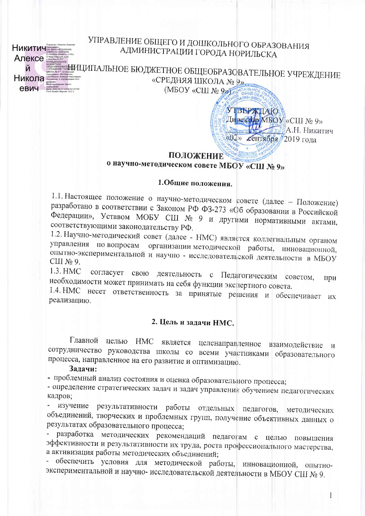**Никитич Апексе** Й Никола ▒ евич

# УПРАВЛЕНИЕ ОБЩЕГО И ДОШКОЛЬНОГО ОБРАЗОВАНИЯ АДМИНИСТРАЦИИ ГОРОДА НОРИЛЬСКА

<u>. НИЦИПАЛЬНОЕ БЮДЖЕТНОЕ ОБЩЕОБРАЗОВАТЕЛЬНОЕ УЧРЕЖДЕНИЕ</u> «СРЕДНЯЯ ШКОЛА № 9». (МБОУ «СШ № 9» КЛИДАЛЬНОЙ

> **УТВЕРЖДАЮ** Директор MBOУ «СШ № 9» **SEC А.Н. Никитич** «02» сентября 2019 года

### ПОЛОЖЕНИЕ о научно-методическом совете МБОУ «СШ № 9»

### 1.Обшие положения.

1.1. Настоящее положение о научно-методическом совете (далее - Положение) разработано в соответствии с Законом РФ ФЗ-273 «Об образовании в Российской Федерации», Уставом МОБУ СШ № 9 и другими нормативными актами, соответствующими законодательству РФ.

1.2. Научно-методический совет (далее - НМС) является коллегиальным органом управления по вопросам организации методической работы, инновационной, опытно-экспериментальной и научно - исследовательской деятельности в МБОУ  $CHI$  No 9.

1.3. HMC согласует свою деятельность с Педагогическим советом, при необходимости может принимать на себя функции экспертного совета.

1.4. НМС несет ответственность за принятые решения и обеспечивает их реализацию.

### 2. Цель и задачи НМС.

Главной целью НМС является целенаправленное взаимодействие и сотрудничество руководства школы со всеми участниками образовательного процесса, направленное на его развитие и оптимизацию.

#### Задачи:

- проблемный анализ состояния и оценка образовательного процесса;

- определение стратегических задач и задач управления обучением педагогических кадров;

изучение результативности работы отдельных педагогов, методических объединений, творческих и проблемных групп, получение объективных данных о результатах образовательного процесса;

- разработка методических рекомендаций педагогам с целью повышения эффективности и результативности их труда, роста профессионального мастерства, а активизация работы методических объединений;

- обеспечить условия для методической работы, инновационной, опытноэкспериментальной и научно-исследовательской деятельности в МБОУ СШ № 9.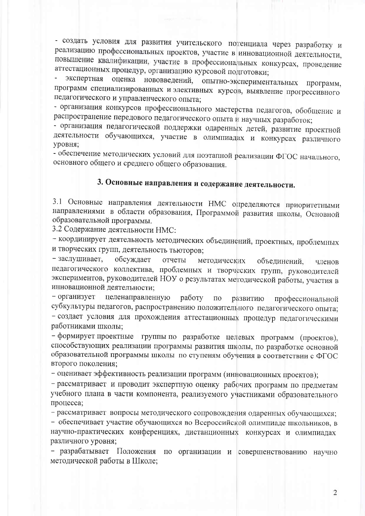- создать условия для развития учительского потенциала через разработку и реализацию профессиональных проектов, участие в инновационной деятельности, повышение квалификации, участие в профессиональных конкурсах, проведение аттестационных процедур, организацию курсовой подготовки;

оценка нововведений, опытно-экспериментальных экспертная программ. программ специализированных и элективных курсов, выявление прогрессивного педагогического и управленческого опыта;

- организация конкурсов профессионального мастерства педагогов, обобщение и распространение передового педагогического опыта и научных разработок;

- организация педагогической поддержки одаренных детей, развитие проектной деятельности обучающихся, участие в олимпиадах и конкурсах различного уровня:

- обеспечение методических условий для поэтапной реализации ФГОС начального, основного общего и среднего общего образования.

## 3. Основные направления и содержание деятельности.

3.1 Основные направления деятельности НМС определяются приоритетными направлениями в области образования, Программой развития школы, Основной образовательной программы.

3.2 Содержание деятельности НМС:

- координирует деятельность методических объединений, проектных, проблемных и творческих групп, деятельность тьюторов;

- заслушивает, обсуждает отчеты методических объединений. членов педагогического коллектива, проблемных и творческих групп, руководителей экспериментов, руководителей НОУ о результатах методической работы, участия в инновационной деятельности:

- организует целенаправленную работу  $\Pi{\rm O}$ развитию профессиональной субкультуры педагогов, распространению положительного педагогического опыта; - создает условия для прохождения аттестационных процедур педагогическими работниками школы:

- формирует проектные группы по разработке целевых программ (проектов), способствующих реализации программы развития школы, по разработке основной образовательной программы школы по ступеням обучения в соответствии с ФГОС второго поколения:

- оценивает эффективность реализации программ (инновационных проектов);

- рассматривает и проводит экспертную оценку рабочих программ по предметам учебного плана в части компонента, реализуемого участниками образовательного процесса;

- рассматривает вопросы методического сопровождения одаренных обучающихся;

- обеспечивает участие обучающихся во Всероссийской олимпиаде школьников, в научно-практических конференциях, дистанционных конкурсах и олимпиадах различного уровня;

- разрабатывает Положения по организации и совершенствованию научно методической работы в Школе: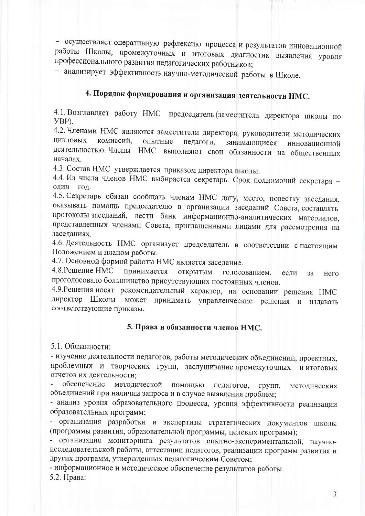- осуществляет оперативную рефлексию процесса и результатов инновационной работы Школы, промежуточных и итоговых диагностик выявления уровня профессионального развития педагогических работников;

- анализирует эффективность научно-методической работы в Школе.

# 4. Порядок формирования и организация деятельности НМС.

4.1. Возглавляет работу НМС председатель (заместитель директора школы по YBP).

4.2. Членами НМС являются заместители директора, руководители методических ЦИКЛОВЫХ комиссий, опытные педагоги, занимающиеся инновационной деятельностью. Члены НМС выполняют свои обязанности на общественных началах.

4.3. Состав НМС утверждается приказом директора школы.

4.4. Из числа членов НМС выбирается секретарь. Срок полномочий секретаря один гол.

4.5. Секретарь обязан сообщать членам НМС дату, место, повестку заседания, оказывать помощь председателю в организации заседаний Совета, составлять протоколы заседаний, вести банк информационно-аналитических материалов, представленных членами Совета, приглашенными лицами для рассмотрения на заседаниях.

4.6. Деятельность НМС организует председатель в соответствии с настоящим Положением и планом работы.

4.7. Основной формой работы НМС является заседание.

4.8. Решение НМС принимается открытым голосованием, если  $3a$ него проголосовало большинство присутствующих постоянных членов.

4.9. Решения носят рекомендательный характер, на основании решения НМС директор Школы может принимать управленческие решения и издавать соответствующие приказы.

#### 5. Права и обязанности членов НМС.

5.1. Обязанности:

- изучение деятельности педагогов, работы методических объединений, проектных, проблемных и творческих групп, заслушивание промежуточных и итоговых отчетов их деятельности;

обеспечение методической помощью педагогов. групп. метолических объединений при наличии запроса и в случае выявления проблем;

- анализ уровня образовательного процесса, уровня эффективности реализации образовательных программ;

- организация разработки и экспертизы стратегических документов школы (программы развития, образовательной программы, целевых программ);

- организация мониторинга результатов опытно-экспериментальной, научноисследовательской работы, аттестации педагогов, реализации программ развития и других программ, утвержденных педагогическим Советом;

- информационное и методическое обеспечение результатов работы. 5.2. Права:

3